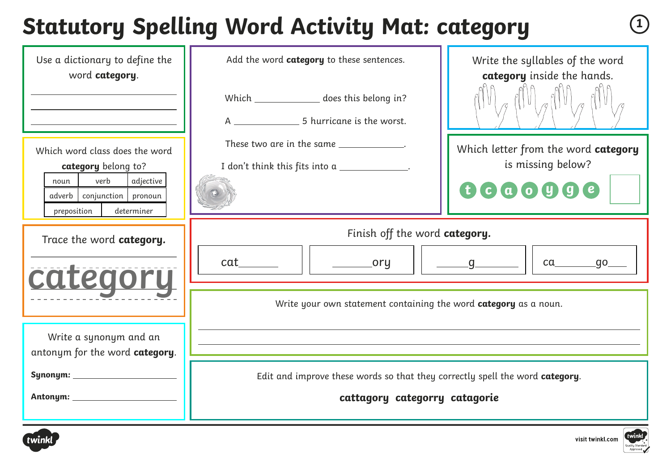# **Statutory Spelling Word Activity Mat: category <sup>1</sup>**

| Use a dictionary to define the<br>word category.<br>Which word class does the word<br>category belong to?<br>verb<br>adjective<br>noun  <br>adverb conjunction pronoun<br>preposition<br>determiner | Add the word category to these sentences.<br>Which _______________ does this belong in?<br>These two are in the same ____________.<br>I don't think this fits into a _____________. | Write the syllables of the word<br>category inside the hands.<br>Which letter from the word category<br>is missing below?<br>000000 |
|-----------------------------------------------------------------------------------------------------------------------------------------------------------------------------------------------------|-------------------------------------------------------------------------------------------------------------------------------------------------------------------------------------|-------------------------------------------------------------------------------------------------------------------------------------|
| Trace the word category.<br>category                                                                                                                                                                | Finish off the word category.<br>Write your own statement containing the word category as a noun.                                                                                   | ca__________go____<br>$\underline{\hspace{1cm}}$ g $\underline{\hspace{1cm}}$                                                       |
| Write a synonym and an<br>antonym for the word category.                                                                                                                                            | Edit and improve these words so that they correctly spell the word category.<br>cattagory categorry catagorie                                                                       |                                                                                                                                     |



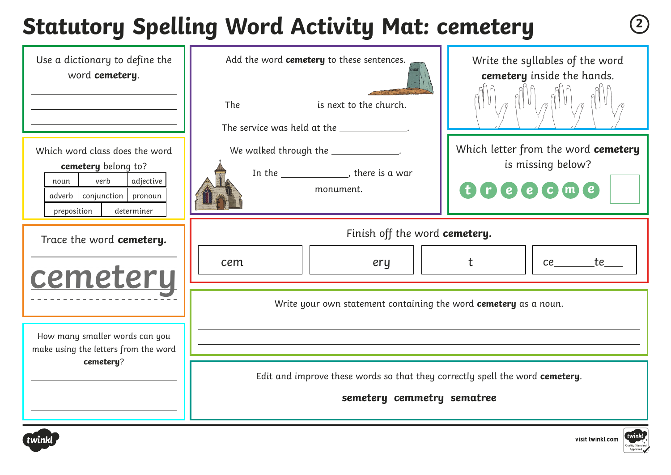# **Statutory Spelling Word Activity Mat: cemetery <sup>2</sup>**

| Use a dictionary to define the<br>word cemetery.                                                                                              | Add the word cemetery to these sentences.<br>The ____________________ is next to the church.<br>The service was held at the ______________. | Write the syllables of the word<br>cemetery inside the hands.              |
|-----------------------------------------------------------------------------------------------------------------------------------------------|---------------------------------------------------------------------------------------------------------------------------------------------|----------------------------------------------------------------------------|
| Which word class does the word<br>cemetery belong to?<br>verb<br>adjective<br>noun<br>adverb conjunction pronoun<br>preposition<br>determiner | We walked through the _____________.<br>In the ______________, there is a war<br>monument.                                                  | Which letter from the word cemetery<br>is missing below?<br><b>UCCCCMC</b> |
| Trace the word cemetery.<br>cemetery                                                                                                          | Finish off the word cemetery.<br>cem<br>_______ery<br>Write your own statement containing the word cemetery as a noun.                      | ce te                                                                      |
| How many smaller words can you<br>make using the letters from the word<br>cemetery?                                                           | Edit and improve these words so that they correctly spell the word cemetery.<br>semetery cemmetry sematree                                  |                                                                            |



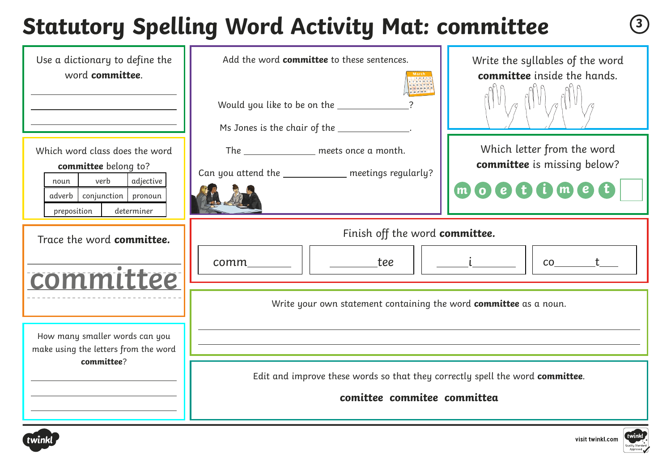# **Statutory Spelling Word Activity Mat: committee <sup>3</sup>**

| Use a dictionary to define the<br>word committee.                                                                                                  | Add the word committee to these sentences.<br>Would you like to be on the _____________<br>Ms Jones is the chair of the _____________. | Write the syllables of the word<br>committee inside the hands.                           |
|----------------------------------------------------------------------------------------------------------------------------------------------------|----------------------------------------------------------------------------------------------------------------------------------------|------------------------------------------------------------------------------------------|
| Which word class does the word<br>committee belong to?<br>verb<br>adjective<br>noun<br>adverb   conjunction   pronoun<br>preposition<br>determiner | The _______________ meets once a month.<br>Can you attend the _____________ meetings regularly?                                        | Which letter from the word<br>committee is missing below?<br>$m$ $o$ $e$ $t$ $o$ $m$ $e$ |
| Trace the word committee.<br>committee                                                                                                             | Finish off the word committee.<br><b>tee</b><br>comm                                                                                   |                                                                                          |
| How many smaller words can you<br>make using the letters from the word                                                                             | Write your own statement containing the word committee as a noun.                                                                      |                                                                                          |
| committee?                                                                                                                                         | Edit and improve these words so that they correctly spell the word committee.<br>comittee commitee committea                           |                                                                                          |



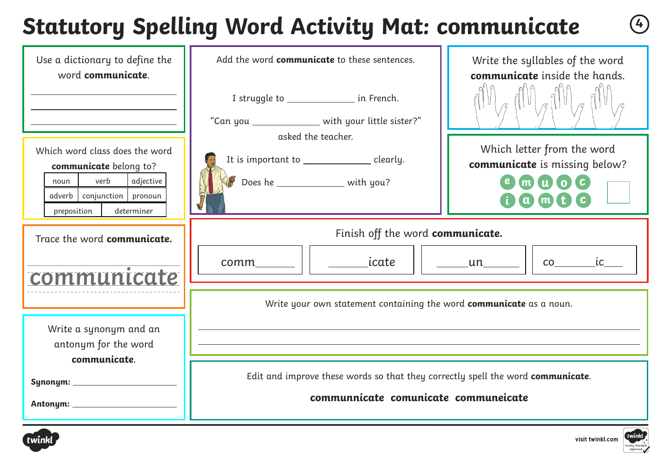## **Statutory Spelling Word Activity Mat: communicate <sup>4</sup>**

| Use a dictionary to define the<br>word communicate.                                                                                                  | Add the word communicate to these sentences.<br>I struggle to ________________ in French.<br>"Can you ______________ with your little sister?" | Write the syllables of the word<br>communicate inside the hands.               |
|------------------------------------------------------------------------------------------------------------------------------------------------------|------------------------------------------------------------------------------------------------------------------------------------------------|--------------------------------------------------------------------------------|
| Which word class does the word<br>communicate belong to?<br>verb<br>adjective<br>noun<br>adverb   conjunction   pronoun<br>determiner<br>preposition | asked the teacher.<br>It is important to ______________ clearly.<br>Does he _______________ with you?                                          | Which letter from the word<br>communicate is missing below?<br>muoc<br>$(m_t)$ |
| Trace the word communicate.<br>communicate                                                                                                           | Finish off the word communicate.<br>_icate<br>$comm$ $\qquad \qquad$                                                                           | $\overline{c}$ $\overline{c}$ $\overline{c}$ $\overline{c}$<br><u>un</u>       |
| Write a synonym and an<br>antonym for the word<br>communicate.                                                                                       | Write your own statement containing the word communicate as a noun.                                                                            |                                                                                |
|                                                                                                                                                      | Edit and improve these words so that they correctly spell the word communicate.<br>communnicate comunicate communeicate                        |                                                                                |